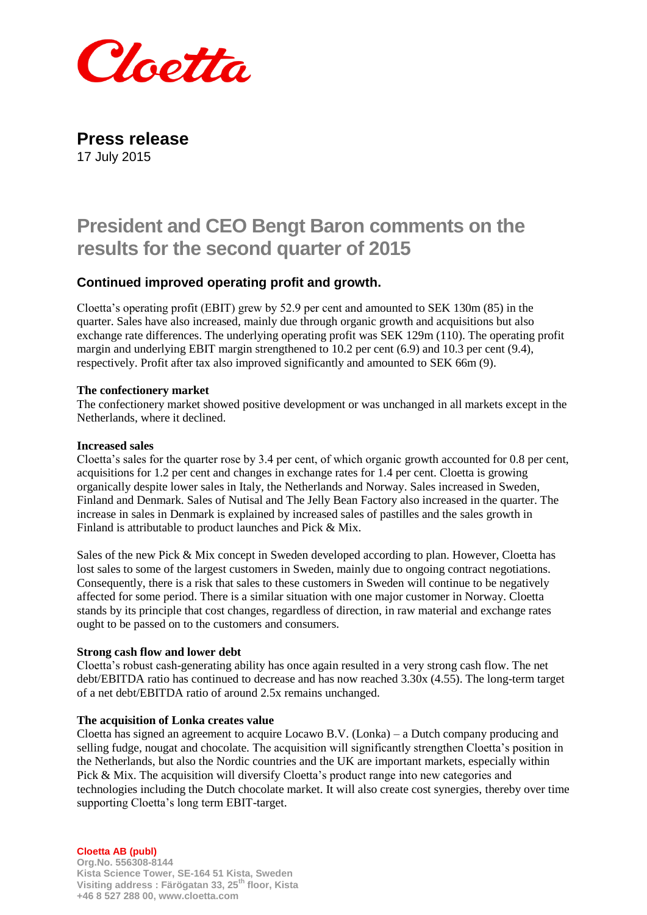

**Press release** 17 July 2015

# **President and CEO Bengt Baron comments on the results for the second quarter of 2015**

# **Continued improved operating profit and growth.**

Cloetta's operating profit (EBIT) grew by 52.9 per cent and amounted to SEK 130m (85) in the quarter. Sales have also increased, mainly due through organic growth and acquisitions but also exchange rate differences. The underlying operating profit was SEK 129m (110). The operating profit margin and underlying EBIT margin strengthened to 10.2 per cent (6.9) and 10.3 per cent (9.4), respectively. Profit after tax also improved significantly and amounted to SEK 66m (9).

# **The confectionery market**

The confectionery market showed positive development or was unchanged in all markets except in the Netherlands, where it declined.

# **Increased sales**

Cloetta's sales for the quarter rose by 3.4 per cent, of which organic growth accounted for 0.8 per cent, acquisitions for 1.2 per cent and changes in exchange rates for 1.4 per cent. Cloetta is growing organically despite lower sales in Italy, the Netherlands and Norway. Sales increased in Sweden, Finland and Denmark. Sales of Nutisal and The Jelly Bean Factory also increased in the quarter. The increase in sales in Denmark is explained by increased sales of pastilles and the sales growth in Finland is attributable to product launches and Pick & Mix.

Sales of the new Pick & Mix concept in Sweden developed according to plan. However, Cloetta has lost sales to some of the largest customers in Sweden, mainly due to ongoing contract negotiations. Consequently, there is a risk that sales to these customers in Sweden will continue to be negatively affected for some period. There is a similar situation with one major customer in Norway. Cloetta stands by its principle that cost changes, regardless of direction, in raw material and exchange rates ought to be passed on to the customers and consumers.

#### **Strong cash flow and lower debt**

Cloetta's robust cash-generating ability has once again resulted in a very strong cash flow. The net debt/EBITDA ratio has continued to decrease and has now reached 3.30x (4.55). The long-term target of a net debt/EBITDA ratio of around 2.5x remains unchanged.

#### **The acquisition of Lonka creates value**

Cloetta has signed an agreement to acquire Locawo B.V. (Lonka) – a Dutch company producing and selling fudge, nougat and chocolate. The acquisition will significantly strengthen Cloetta's position in the Netherlands, but also the Nordic countries and the UK are important markets, especially within Pick & Mix. The acquisition will diversify Cloetta's product range into new categories and technologies including the Dutch chocolate market. It will also create cost synergies, thereby over time supporting Cloetta's long term EBIT-target.

**Cloetta AB (publ)**

**Org.No. 556308-8144 Kista Science Tower, SE-164 51 Kista, Sweden Visiting address : Färögatan 33, 25th floor, Kista +46 8 527 288 00, www.cloetta.com**